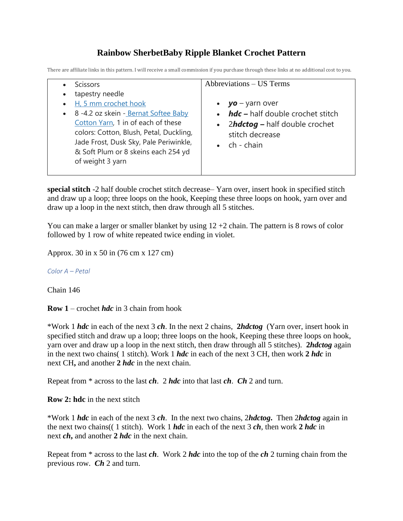## **Rainbow SherbetBaby Ripple Blanket Crochet Pattern**

There are affiliate links in this pattern. I will receive a small commission if you purchase through these links at no additional cost to you.

|                        | <b>Scissors</b>                                                                                                                                                                                                                                                         | Abbreviations – US Terms                                                                                                                            |
|------------------------|-------------------------------------------------------------------------------------------------------------------------------------------------------------------------------------------------------------------------------------------------------------------------|-----------------------------------------------------------------------------------------------------------------------------------------------------|
| $\bullet$<br>$\bullet$ | tapestry needle<br>H, 5 mm crochet hook<br>• 8 -4.2 oz skein - Bernat Softee Baby<br>Cotton Yarn, 1 in of each of these<br>colors: Cotton, Blush, Petal, Duckling,<br>Jade Frost, Dusk Sky, Pale Periwinkle,<br>& Soft Plum or 8 skeins each 254 yd<br>of weight 3 yarn | • $yo - yarn over$<br>$\cdot$ <i>hdc</i> – half double crochet stitch<br>• 2hdctog - half double crochet<br>stitch decrease<br>$\bullet$ ch - chain |
|                        |                                                                                                                                                                                                                                                                         |                                                                                                                                                     |

**special stitch** -2 half double crochet stitch decrease– Yarn over, insert hook in specified stitch and draw up a loop; three loops on the hook, Keeping these three loops on hook, yarn over and draw up a loop in the next stitch, then draw through all 5 stitches.

You can make a larger or smaller blanket by using  $12 + 2$  chain. The pattern is 8 rows of color followed by 1 row of white repeated twice ending in violet.

Approx. 30 in x 50 in (76 cm x 127 cm)

*Color A – Petal*

Chain 146

**Row 1** – crochet *hdc* in 3 chain from hook

\*Work 1 *hdc* in each of the next 3 *ch*. In the next 2 chains, **2***hdctog* (Yarn over, insert hook in specified stitch and draw up a loop; three loops on the hook, Keeping these three loops on hook, yarn over and draw up a loop in the next stitch, then draw through all 5 stitches). **2***hdctog* again in the next two chains( 1 stitch). Work 1 *hdc* in each of the next 3 CH, then work **2** *hdc* in next CH**,** and another **2** *hdc* in the next chain.

Repeat from \* across to the last *ch*. 2 *hdc* into that last *ch*. *Ch* 2 and turn.

**Row 2: hdc** in the next stitch

\*Work 1 *hdc* in each of the next 3 *ch*. In the next two chains, 2*hdctog***.** Then 2*hdctog* again in the next two chains(( 1 stitch). Work 1 *hdc* in each of the next 3 *ch*, then work **2** *hdc* in next *ch***,** and another **2** *hdc* in the next chain.

Repeat from \* across to the last *ch*. Work 2 *hdc* into the top of the *ch* 2 turning chain from the previous row. *Ch* 2 and turn.